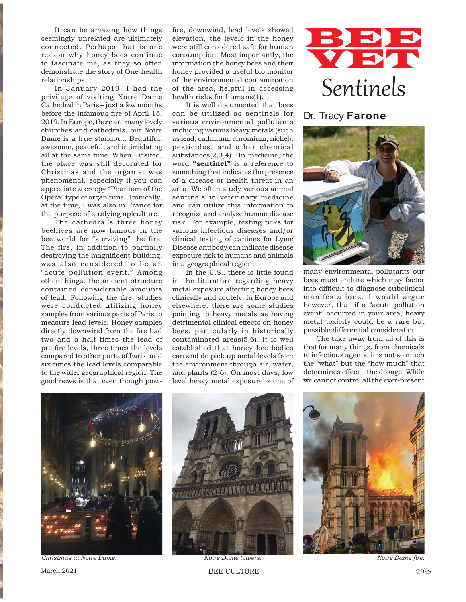It can be amazing how things seemingly unrelated are ultimately connected. Perhaps that is one reason why honey bees continue to fascinate me, as they so often demonstrate the story of One-health relationships.

In January 2019, I had the privilege of visiting Notre Dame Cathedral in Paris – just a few months before the infamous fire of April 15, 2019. In Europe, there are many lovely churches and cathedrals, but Notre Dame is a true standout. Beautiful, awesome, peaceful, and intimidating all at the same time. When I visited, the place was still decorated for Christmas and the organist was phenomenal, especially if you can appreciate a creepy "Phantom of the Opera" type of organ tune. Ironically, at the time, I was also in France for the purpose of studying apiculture.

The cathedral's three honey beehives are now famous in the bee world for "surviving" the fire. The fire, in addition to partially destroying the magnificent building, was also considered to be an "acute pollution event." Among other things, the ancient structure contained considerable amounts of lead. Following the fire, studies were conducted utilizing honey samples from various parts of Paris to measure lead levels. Honey samples directly downwind from the fire had two and a half times the lead of pre-fire levels, three times the levels compared to other parts of Paris, and six times the lead levels comparable to the wider geographical region. The good news is that even though post-

fire, downwind, lead levels showed elevation, the levels in the honey were still considered safe for human consumption. Most importantly, the information the honey bees and their honey provided a useful bio monitor of the environmental contamination of the area, helpful in assessing health risks for humans(1).

It is well documented that bees can be utilized as sentinels for various environmental pollutants including various heavy metals (such as lead, cadmium, chromium, nickel), pesticides, and other chemical substances(2,3,4). In medicine, the word **"sentinel"** is a reference to something that indicates the presence of a disease or health threat in an area. We often study various animal sentinels in veterinary medicine and can utilize this information to recognize and analyze human disease risk. For example, testing ticks for various infectious diseases and/or clinical testing of canines for Lyme Disease antibody can indicate disease exposure risk to humans and animals in a geographical region.

In the U.S., there is little found in the literature regarding heavy metal exposure affecting honey bees clinically and acutely. In Europe and elsewhere, there are some studies pointing to heavy metals as having detrimental clinical effects on honey bees, particularly in historically contaminated areas(5,6). It is well established that honey bee bodies can and do pick up metal levels from the environment through air, water, and plants (2-6). On most days, low level heavy metal exposure is one of



## Dr. Tracy **Farone**



many environmental pollutants our bees must endure which may factor into difficult to diagnose subclinical manifestations. I would argue however, that if a "acute pollution event" occurred in your area, heavy metal toxicity could be a rare but possible differential consideration.

The take away from all of this is that for many things, from chemicals to infectious agents, it is not so much the "what" but the "how much" that determines effect – the dosage. While we cannot control all the ever-present



**Christmas at Notre Dame.** *Notre Dame towers.* **<b>***Notre Dame fire. Notre Dame fire.* 

**The Communication of the Community of the Community of the Community of the Community of the Community of the**